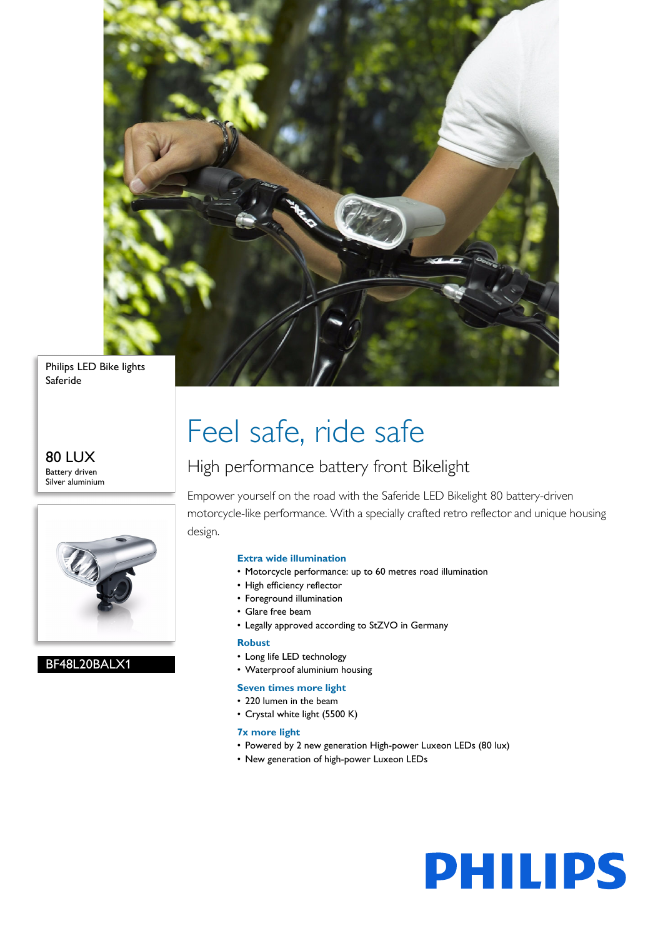

Philips LED Bike lights Saferide

80 LUX Battery driven Silver aluminium



BF48L20BALX1

## Feel safe, ride safe

### High performance battery front Bikelight

Empower yourself on the road with the Saferide LED Bikelight 80 battery-driven motorcycle-like performance. With a specially crafted retro reflector and unique housing design.

#### **Extra wide illumination**

- Motorcycle performance: up to 60 metres road illumination
- High efficiency reflector
- Foreground illumination
- Glare free beam
- Legally approved according to StZVO in Germany

#### **Robust**

- Long life LED technology
- Waterproof aluminium housing

#### **Seven times more light**

- 220 lumen in the beam
- Crystal white light (5500 K)

#### **7x more light**

- Powered by 2 new generation High-power Luxeon LEDs (80 lux)
- New generation of high-power Luxeon LEDs

# **PHILIPS**